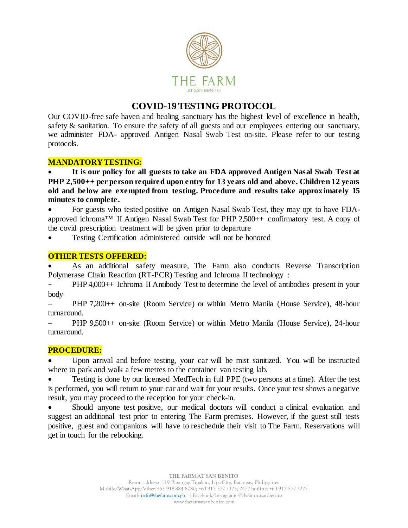

# **COVID-19 TESTING PROTOCOL**

Our COVID-free safe haven and healing sanctuary has the highest level of excellence in health, safety & sanitation. To ensure the safety of all guests and our employees entering our sanctuary, we administer FDA- approved Antigen Nasal Swab Test on-site. Please refer to our testing protocols.

## **MANDATORY TESTING:**

• **It is our policy for all guests to take an FDA approved Antigen Nasal Swab Test at PHP 2,500++ per person required upon entry for 13 years old and above. Children 12 years old and below are exempted from testing. Procedure and results take approximately 15 minutes to complete.**

• For guests who tested positive on Antigen Nasal Swab Test, they may opt to have FDAapproved ichroma™ II Antigen Nasal Swab Test for PHP 2,500++ confirmatory test. A copy of the covid prescription treatment will be given prior to departure

• Testing Certification administered outside will not be honored

#### **OTHER TESTS OFFERED:**

• As an additional safety measure, The Farm also conducts Reverse Transcription Polymerase Chain Reaction (RT-PCR) Testing and Ichroma II technology :

PHP 4,000++ Ichroma II Antibody Test to determine the level of antibodies present in your body

− PHP 7,200++ on-site (Room Service) or within Metro Manila (House Service), 48-hour turnaround.

− PHP 9,500++ on-site (Room Service) or within Metro Manila (House Service), 24-hour turnaround.

#### **PROCEDURE:**

• Upon arrival and before testing, your car will be mist sanitized. You will be instructed where to park and walk a few metres to the container van testing lab.

• Testing is done by our licensed MedTech in full PPE (two persons at a time). After the test is performed, you will return to your car and wait for your results. Once your test shows a negative result, you may proceed to the reception for your check-in.

Should anyone test positive, our medical doctors will conduct a clinical evaluation and suggest an additional test prior to entering The Farm premises. However, if the guest still tests positive, guest and companions will have to reschedule their visit to The Farm. Reservations will get in touch for the rebooking.